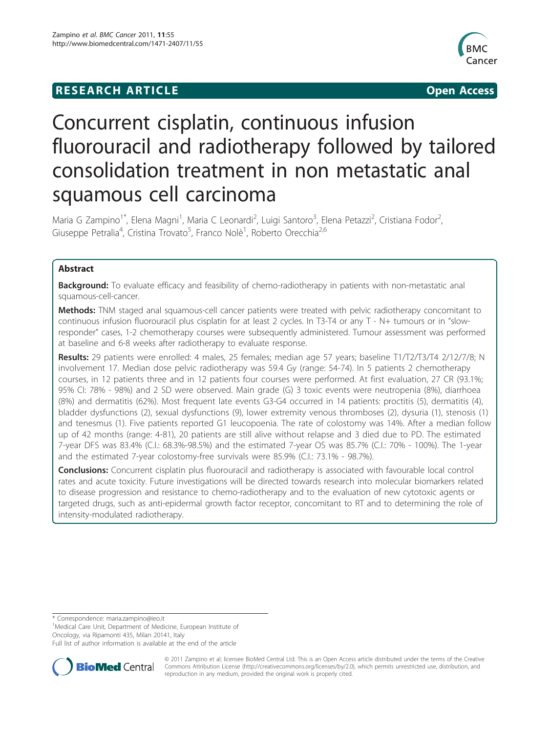## **RESEARCH ARTICLE Example 2014 CONSUMING ACCESS**



# Concurrent cisplatin, continuous infusion fluorouracil and radiotherapy followed by tailored consolidation treatment in non metastatic anal squamous cell carcinoma

Maria G Zampino<sup>1\*</sup>, Elena Magni<sup>1</sup>, Maria C Leonardi<sup>2</sup>, Luigi Santoro<sup>3</sup>, Elena Petazzi<sup>2</sup>, Cristiana Fodor<sup>2</sup> , Giuseppe Petralia<sup>4</sup>, Cristina Trovato<sup>5</sup>, Franco Nolè<sup>1</sup>, Roberto Orecchia<sup>2,6</sup>

## Abstract

Background: To evaluate efficacy and feasibility of chemo-radiotherapy in patients with non-metastatic anal squamous-cell-cancer.

Methods: TNM staged anal squamous-cell cancer patients were treated with pelvic radiotherapy concomitant to continuous infusion fluorouracil plus cisplatin for at least 2 cycles. In T3-T4 or any T - N+ tumours or in "slowresponder" cases, 1-2 chemotherapy courses were subsequently administered. Tumour assessment was performed at baseline and 6-8 weeks after radiotherapy to evaluate response.

Results: 29 patients were enrolled: 4 males, 25 females; median age 57 years; baseline T1/T2/T3/T4 2/12/7/8; N involvement 17. Median dose pelvic radiotherapy was 59.4 Gy (range: 54-74). In 5 patients 2 chemotherapy courses, in 12 patients three and in 12 patients four courses were performed. At first evaluation, 27 CR (93.1%; 95% CI: 78% - 98%) and 2 SD were observed. Main grade (G) 3 toxic events were neutropenia (8%), diarrhoea (8%) and dermatitis (62%). Most frequent late events G3-G4 occurred in 14 patients: proctitis (5), dermatitis (4), bladder dysfunctions (2), sexual dysfunctions (9), lower extremity venous thromboses (2), dysuria (1), stenosis (1) and tenesmus (1). Five patients reported G1 leucopoenia. The rate of colostomy was 14%. After a median follow up of 42 months (range: 4-81), 20 patients are still alive without relapse and 3 died due to PD. The estimated 7-year DFS was 83.4% (C.I.: 68.3%-98.5%) and the estimated 7-year OS was 85.7% (C.I.: 70% - 100%). The 1-year and the estimated 7-year colostomy-free survivals were 85.9% (C.I.: 73.1% - 98.7%).

**Conclusions:** Concurrent cisplatin plus fluorouracil and radiotherapy is associated with favourable local control rates and acute toxicity. Future investigations will be directed towards research into molecular biomarkers related to disease progression and resistance to chemo-radiotherapy and to the evaluation of new cytotoxic agents or targeted drugs, such as anti-epidermal growth factor receptor, concomitant to RT and to determining the role of intensity-modulated radiotherapy.

\* Correspondence: [maria.zampino@ieo.it](mailto:maria.zampino@ieo.it)

<sup>1</sup>Medical Care Unit, Department of Medicine, European Institute of Oncology, via Ripamonti 435, Milan 20141, Italy

Full list of author information is available at the end of the article



© 2011 Zampino et al; licensee BioMed Central Ltd. This is an Open Access article distributed under the terms of the Creative Commons Attribution License [\(http://creativecommons.org/licenses/by/2.0](http://creativecommons.org/licenses/by/2.0)), which permits unrestricted use, distribution, and reproduction in any medium, provided the original work is properly cited.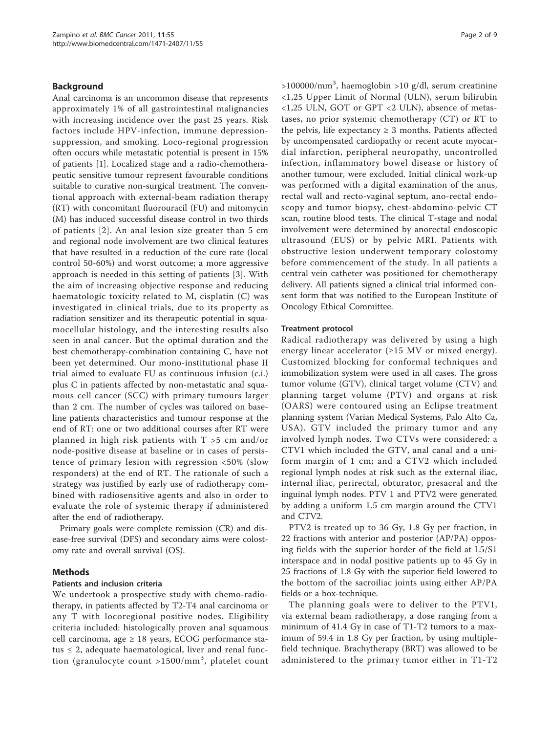### Background

Anal carcinoma is an uncommon disease that represents approximately 1% of all gastrointestinal malignancies with increasing incidence over the past 25 years. Risk factors include HPV-infection, immune depressionsuppression, and smoking. Loco-regional progression often occurs while metastatic potential is present in 15% of patients [\[1](#page-7-0)]. Localized stage and a radio-chemotherapeutic sensitive tumour represent favourable conditions suitable to curative non-surgical treatment. The conventional approach with external-beam radiation therapy (RT) with concomitant fluorouracil (FU) and mitomycin (M) has induced successful disease control in two thirds of patients [[2](#page-7-0)]. An anal lesion size greater than 5 cm and regional node involvement are two clinical features that have resulted in a reduction of the cure rate (local control 50-60%) and worst outcome; a more aggressive approach is needed in this setting of patients [\[3](#page-7-0)]. With the aim of increasing objective response and reducing haematologic toxicity related to M, cisplatin (C) was investigated in clinical trials, due to its property as radiation sensitizer and its therapeutic potential in squamocellular histology, and the interesting results also seen in anal cancer. But the optimal duration and the best chemotherapy-combination containing C, have not been yet determined. Our mono-institutional phase II trial aimed to evaluate FU as continuous infusion (c.i.) plus C in patients affected by non-metastatic anal squamous cell cancer (SCC) with primary tumours larger than 2 cm. The number of cycles was tailored on baseline patients characteristics and tumour response at the end of RT: one or two additional courses after RT were planned in high risk patients with T >5 cm and/or node-positive disease at baseline or in cases of persistence of primary lesion with regression <50% (slow responders) at the end of RT. The rationale of such a strategy was justified by early use of radiotherapy combined with radiosensitive agents and also in order to evaluate the role of systemic therapy if administered after the end of radiotherapy.

Primary goals were complete remission (CR) and disease-free survival (DFS) and secondary aims were colostomy rate and overall survival (OS).

#### Methods

#### Patients and inclusion criteria

We undertook a prospective study with chemo-radiotherapy, in patients affected by T2-T4 anal carcinoma or any T with locoregional positive nodes. Eligibility criteria included: histologically proven anal squamous cell carcinoma, age  $\geq$  18 years, ECOG performance status  $\leq$  2, adequate haematological, liver and renal function (granulocyte count >1500/mm<sup>3</sup>, platelet count

>100000/mm<sup>3</sup>, haemoglobin >10 g/dl, serum creatinine <1,25 Upper Limit of Normal (ULN), serum bilirubin <1,25 ULN, GOT or GPT <2 ULN), absence of metastases, no prior systemic chemotherapy (CT) or RT to the pelvis, life expectancy  $\geq$  3 months. Patients affected by uncompensated cardiopathy or recent acute myocardial infarction, peripheral neuropathy, uncontrolled infection, inflammatory bowel disease or history of another tumour, were excluded. Initial clinical work-up was performed with a digital examination of the anus, rectal wall and recto-vaginal septum, ano-rectal endoscopy and tumor biopsy, chest-abdomino-pelvic CT scan, routine blood tests. The clinical T-stage and nodal involvement were determined by anorectal endoscopic ultrasound (EUS) or by pelvic MRI. Patients with obstructive lesion underwent temporary colostomy before commencement of the study. In all patients a central vein catheter was positioned for chemotherapy delivery. All patients signed a clinical trial informed consent form that was notified to the European Institute of Oncology Ethical Committee.

#### Treatment protocol

Radical radiotherapy was delivered by using a high energy linear accelerator  $(\geq 15 \text{ MV or mixed energy}).$ Customized blocking for conformal techniques and immobilization system were used in all cases. The gross tumor volume (GTV), clinical target volume (CTV) and planning target volume (PTV) and organs at risk (OARS) were contoured using an Eclipse treatment planning system (Varian Medical Systems, Palo Alto Ca, USA). GTV included the primary tumor and any involved lymph nodes. Two CTVs were considered: a CTV1 which included the GTV, anal canal and a uniform margin of 1 cm; and a CTV2 which included regional lymph nodes at risk such as the external iliac, internal iliac, perirectal, obturator, presacral and the inguinal lymph nodes. PTV 1 and PTV2 were generated by adding a uniform 1.5 cm margin around the CTV1 and CTV2.

PTV2 is treated up to 36 Gy, 1.8 Gy per fraction, in 22 fractions with anterior and posterior (AP/PA) opposing fields with the superior border of the field at L5/S1 interspace and in nodal positive patients up to 45 Gy in 25 fractions of 1.8 Gy with the superior field lowered to the bottom of the sacroiliac joints using either AP/PA fields or a box-technique.

The planning goals were to deliver to the PTV1, via external beam radiotherapy, a dose ranging from a minimum of 41.4 Gy in case of T1-T2 tumors to a maximum of 59.4 in 1.8 Gy per fraction, by using multiplefield technique. Brachytherapy (BRT) was allowed to be administered to the primary tumor either in T1-T2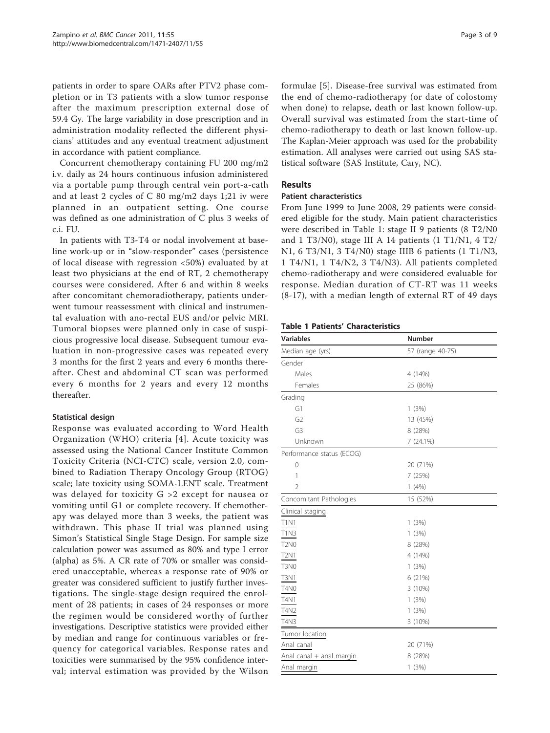patients in order to spare OARs after PTV2 phase completion or in T3 patients with a slow tumor response after the maximum prescription external dose of 59.4 Gy. The large variability in dose prescription and in administration modality reflected the different physicians' attitudes and any eventual treatment adjustment in accordance with patient compliance.

Concurrent chemotherapy containing FU 200 mg/m2 i.v. daily as 24 hours continuous infusion administered via a portable pump through central vein port-a-cath and at least 2 cycles of C 80 mg/m2 days 1;21 iv were planned in an outpatient setting. One course was defined as one administration of C plus 3 weeks of c.i. FU.

In patients with T3-T4 or nodal involvement at baseline work-up or in "slow-responder" cases (persistence of local disease with regression <50%) evaluated by at least two physicians at the end of RT, 2 chemotherapy courses were considered. After 6 and within 8 weeks after concomitant chemoradiotherapy, patients underwent tumour reassessment with clinical and instrumental evaluation with ano-rectal EUS and/or pelvic MRI. Tumoral biopses were planned only in case of suspicious progressive local disease. Subsequent tumour evaluation in non-progressive cases was repeated every 3 months for the first 2 years and every 6 months thereafter. Chest and abdominal CT scan was performed every 6 months for 2 years and every 12 months thereafter.

## Statistical design

Response was evaluated according to Word Health Organization (WHO) criteria [[4\]](#page-7-0). Acute toxicity was assessed using the National Cancer Institute Common Toxicity Criteria (NCI-CTC) scale, version 2.0, combined to Radiation Therapy Oncology Group (RTOG) scale; late toxicity using SOMA-LENT scale. Treatment was delayed for toxicity G >2 except for nausea or vomiting until G1 or complete recovery. If chemotherapy was delayed more than 3 weeks, the patient was withdrawn. This phase II trial was planned using Simon's Statistical Single Stage Design. For sample size calculation power was assumed as 80% and type I error (alpha) as 5%. A CR rate of 70% or smaller was considered unacceptable, whereas a response rate of 90% or greater was considered sufficient to justify further investigations. The single-stage design required the enrolment of 28 patients; in cases of 24 responses or more the regimen would be considered worthy of further investigations. Descriptive statistics were provided either by median and range for continuous variables or frequency for categorical variables. Response rates and toxicities were summarised by the 95% confidence interval; interval estimation was provided by the Wilson formulae [\[5\]](#page-7-0). Disease-free survival was estimated from the end of chemo-radiotherapy (or date of colostomy when done) to relapse, death or last known follow-up. Overall survival was estimated from the start-time of chemo-radiotherapy to death or last known follow-up. The Kaplan-Meier approach was used for the probability estimation. All analyses were carried out using SAS statistical software (SAS Institute, Cary, NC).

## Results

## Patient characteristics

From June 1999 to June 2008, 29 patients were considered eligible for the study. Main patient characteristics were described in Table 1: stage II 9 patients (8 T2/N0 and 1 T3/N0), stage III A 14 patients  $(1 T1/N1, 4 T2/$ N1, 6 T3/N1, 3 T4/N0) stage IIIB 6 patients (1 T1/N3, 1 T4/N1, 1 T4/N2, 3 T4/N3). All patients completed chemo-radiotherapy and were considered evaluable for response. Median duration of CT-RT was 11 weeks (8-17), with a median length of external RT of 49 days

## Table 1 Patients' Characteristics

| <b>Variables</b>          | Number           |  |
|---------------------------|------------------|--|
| Median age (yrs)          | 57 (range 40-75) |  |
| Gender                    |                  |  |
| Males                     | 4 (14%)          |  |
| Females                   | 25 (86%)         |  |
| Grading                   |                  |  |
| G1                        | 1(3%)            |  |
| G <sub>2</sub>            | 13 (45%)         |  |
| G <sub>3</sub>            | 8 (28%)          |  |
| Unknown                   | 7 (24.1%)        |  |
| Performance status (ECOG) |                  |  |
| $\mathbf{0}$              | 20 (71%)         |  |
| 1                         | 7 (25%)          |  |
| $\overline{2}$            | 1(4%)            |  |
| Concomitant Pathologies   | 15 (52%)         |  |
| Clinical staging          |                  |  |
| <b>T1N1</b>               | 1(3%)            |  |
| <b>T1N3</b>               | 1(3%)            |  |
| <b>T2N0</b>               | 8 (28%)          |  |
| T2N1                      | 4 (14%)          |  |
| T3N0                      | 1(3%)            |  |
| <b>T3N1</b>               | 6 (21%)          |  |
| T4N0                      | 3 (10%)          |  |
| T4N1                      | 1(3%)            |  |
| T4N2                      | 1(3%)            |  |
| T4N3                      | 3 (10%)          |  |
| Tumor location            |                  |  |
| Anal canal                | 20 (71%)         |  |
| Anal canal + anal margin  | 8 (28%)          |  |
| Anal margin               | 1(3%)            |  |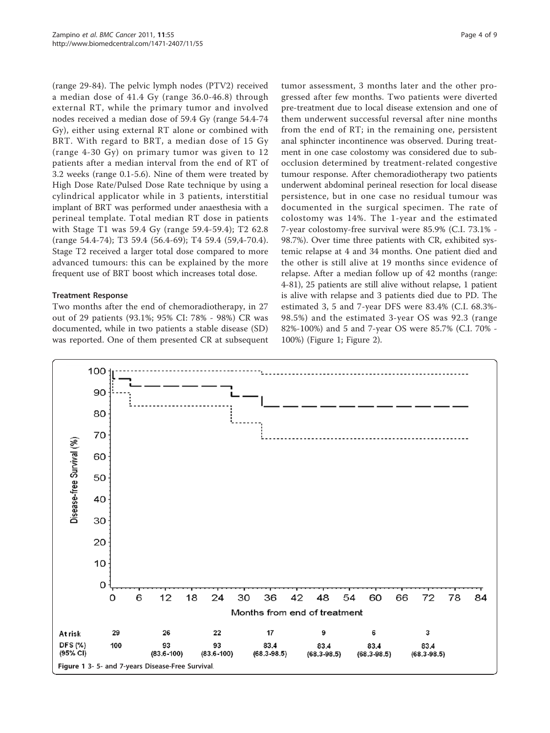(range 29-84). The pelvic lymph nodes (PTV2) received a median dose of 41.4 Gy (range 36.0-46.8) through external RT, while the primary tumor and involved nodes received a median dose of 59.4 Gy (range 54.4-74 Gy), either using external RT alone or combined with BRT. With regard to BRT, a median dose of 15 Gy (range 4-30 Gy) on primary tumor was given to 12 patients after a median interval from the end of RT of 3.2 weeks (range 0.1-5.6). Nine of them were treated by High Dose Rate/Pulsed Dose Rate technique by using a cylindrical applicator while in 3 patients, interstitial implant of BRT was performed under anaesthesia with a perineal template. Total median RT dose in patients with Stage T1 was 59.4 Gy (range 59.4-59.4); T2 62.8 (range 54.4-74); T3 59.4 (56.4-69); T4 59.4 (59,4-70.4). Stage T2 received a larger total dose compared to more advanced tumours: this can be explained by the more frequent use of BRT boost which increases total dose.

### Treatment Response

Two months after the end of chemoradiotherapy, in 27 out of 29 patients (93.1%; 95% CI: 78% - 98%) CR was documented, while in two patients a stable disease (SD) was reported. One of them presented CR at subsequent

tumor assessment, 3 months later and the other progressed after few months. Two patients were diverted pre-treatment due to local disease extension and one of them underwent successful reversal after nine months from the end of RT; in the remaining one, persistent anal sphincter incontinence was observed. During treatment in one case colostomy was considered due to subocclusion determined by treatment-related congestive tumour response. After chemoradiotherapy two patients underwent abdominal perineal resection for local disease persistence, but in one case no residual tumour was documented in the surgical specimen. The rate of colostomy was 14%. The 1-year and the estimated 7-year colostomy-free survival were 85.9% (C.I. 73.1% - 98.7%). Over time three patients with CR, exhibited systemic relapse at 4 and 34 months. One patient died and the other is still alive at 19 months since evidence of relapse. After a median follow up of 42 months (range: 4-81), 25 patients are still alive without relapse, 1 patient is alive with relapse and 3 patients died due to PD. The estimated 3, 5 and 7-year DFS were 83.4% (C.I. 68.3%- 98.5%) and the estimated 3-year OS was 92.3 (range 82%-100%) and 5 and 7-year OS were 85.7% (C.I. 70% - 100%) (Figure 1; Figure [2\)](#page-4-0).

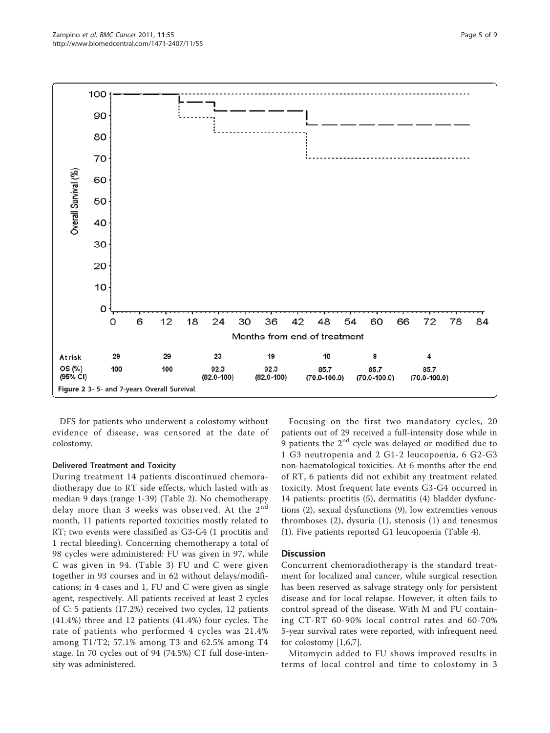<span id="page-4-0"></span>

DFS for patients who underwent a colostomy without evidence of disease, was censored at the date of colostomy.

#### Delivered Treatment and Toxicity

During treatment 14 patients discontinued chemoradiotherapy due to RT side effects, which lasted with as median 9 days (range 1-39) (Table [2\)](#page-5-0). No chemotherapy delay more than 3 weeks was observed. At the  $2^{nd}$ month, 11 patients reported toxicities mostly related to RT; two events were classified as G3-G4 (1 proctitis and 1 rectal bleeding). Concerning chemotherapy a total of 98 cycles were administered: FU was given in 97, while C was given in 94. (Table [3](#page-5-0)) FU and C were given together in 93 courses and in 62 without delays/modifications; in 4 cases and 1, FU and C were given as single agent, respectively. All patients received at least 2 cycles of C: 5 patients (17.2%) received two cycles, 12 patients (41.4%) three and 12 patients (41.4%) four cycles. The rate of patients who performed 4 cycles was 21.4% among T1/T2; 57.1% among T3 and 62.5% among T4 stage. In 70 cycles out of 94 (74.5%) CT full dose-intensity was administered.

Focusing on the first two mandatory cycles, 20 patients out of 29 received a full-intensity dose while in 9 patients the  $2<sup>nd</sup>$  cycle was delayed or modified due to 1 G3 neutropenia and 2 G1-2 leucopoenia, 6 G2-G3 non-haematological toxicities. At 6 months after the end of RT, 6 patients did not exhibit any treatment related toxicity. Most frequent late events G3-G4 occurred in 14 patients: proctitis (5), dermatitis (4) bladder dysfunctions (2), sexual dysfunctions (9), low extremities venous thromboses (2), dysuria (1), stenosis (1) and tenesmus (1). Five patients reported G1 leucopoenia (Table [4\)](#page-6-0).

## **Discussion**

Concurrent chemoradiotherapy is the standard treatment for localized anal cancer, while surgical resection has been reserved as salvage strategy only for persistent disease and for local relapse. However, it often fails to control spread of the disease. With M and FU containing CT-RT 60-90% local control rates and 60-70% 5-year survival rates were reported, with infrequent need for colostomy [[1](#page-7-0),[6](#page-7-0),[7](#page-7-0)].

Mitomycin added to FU shows improved results in terms of local control and time to colostomy in 3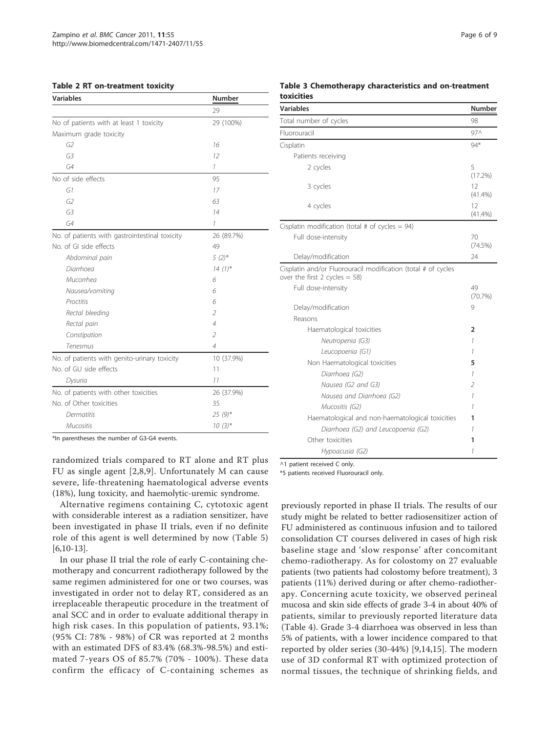#### <span id="page-5-0"></span>Table 2 RT on-treatment toxicity

| <b>Variables</b>                               | Number                   |  |
|------------------------------------------------|--------------------------|--|
|                                                | 29                       |  |
| No of patients with at least 1 toxicity        | 29 (100%)                |  |
| Maximum grade toxicity                         |                          |  |
| G2                                             | 16                       |  |
| G <sub>3</sub>                                 | $12^{1}$                 |  |
| G4                                             | 1                        |  |
| No of side effects                             | 95                       |  |
| G1                                             | 17                       |  |
| G2                                             | 63                       |  |
| G <sub>3</sub>                                 | 14                       |  |
| G4                                             | 1                        |  |
| No. of patients with gastrointestinal toxicity | 26 (89.7%)               |  |
| No. of GI side effects                         | 49                       |  |
| Abdominal pain                                 | $5(2)$ *                 |  |
| Diarrhoea                                      | $14(1)$ *                |  |
| Mucorrhea                                      | 6                        |  |
| Nausea/vomiting                                | 6                        |  |
| Proctitis                                      | 6                        |  |
| Rectal bleeding                                | $\overline{\mathcal{L}}$ |  |
| Rectal pain                                    | $\overline{4}$           |  |
| Constipation                                   | $\overline{\mathcal{L}}$ |  |
| Tenesmus                                       | 4                        |  |
| No. of patients with genito-urinary toxicity   | 10 (37.9%)               |  |
| No. of GU side effects                         | 11                       |  |
| Dysuria                                        | 11                       |  |
| No. of patients with other toxicities          | 26 (37.9%)               |  |
| No. of Other toxicities                        | 35                       |  |
| Dermatitis                                     | $25(9)$ *                |  |
| <b>Mucositis</b>                               | $10(3)$ *                |  |

\*In parentheses the number of G3-G4 events.

randomized trials compared to RT alone and RT plus FU as single agent [\[2,8,9\]](#page-7-0). Unfortunately M can cause severe, life-threatening haematological adverse events (18%), lung toxicity, and haemolytic-uremic syndrome.

Alternative regimens containing C, cytotoxic agent with considerable interest as a radiation sensitizer, have been investigated in phase II trials, even if no definite role of this agent is well determined by now (Table [5](#page-6-0))  $[6,10-13]$  $[6,10-13]$ .

In our phase II trial the role of early C-containing chemotherapy and concurrent radiotherapy followed by the same regimen administered for one or two courses, was investigated in order not to delay RT, considered as an irreplaceable therapeutic procedure in the treatment of anal SCC and in order to evaluate additional therapy in high risk cases. In this population of patients, 93.1%; (95% CI: 78% - 98%) of CR was reported at 2 months with an estimated DFS of 83.4% (68.3%-98.5%) and estimated 7-years OS of 85.7% (70% - 100%). These data confirm the efficacy of C-containing schemes as

| <b>Variables</b>                                                                                  | Number           |
|---------------------------------------------------------------------------------------------------|------------------|
| Total number of cycles                                                                            | 98               |
| Fluorouracil                                                                                      | 97 <sub>0</sub>  |
| Cisplatin                                                                                         | $94*$            |
| Patients receiving                                                                                |                  |
| 2 cycles                                                                                          | 5<br>(17.2%)     |
| 3 cycles                                                                                          | 12<br>(41.4%)    |
| 4 cycles                                                                                          | 12<br>$(41.4\%)$ |
| Cisplatin modification (total # of cycles = $94$ )                                                |                  |
| Full dose-intensity                                                                               | 70<br>(74.5%)    |
| Delay/modification                                                                                | 24               |
| Cisplatin and/or Fluorouracil modification (total # of cycles<br>over the first 2 cycles = $58$ ) |                  |
| Full dose-intensity                                                                               | 49<br>(70.7%)    |
| Delay/modification                                                                                | 9                |
| Reasons                                                                                           |                  |
| Haematological toxicities                                                                         | 2                |
| Neutropenia (G3)                                                                                  | 1                |
| Leucopoenia (G1)                                                                                  | 1                |
| Non Haematological toxicities                                                                     | 5                |
| Diarrhoea (G2)                                                                                    | 1                |
| Nausea (G2 and G3)                                                                                | 2                |
| Nausea and Diarrhoea (G2)                                                                         | 1                |
| Mucositis (G2)                                                                                    | 1                |
| Haematological and non-haematological toxicities                                                  | 1                |
| Diarrhoea (G2) and Leucopoenia (G2)                                                               | 1                |
| Other toxicities                                                                                  | 1                |
| Hypoacusia (G2)                                                                                   | 1                |

^1 patient received C only.

\*5 patients received Fluorouracil only.

previously reported in phase II trials. The results of our study might be related to better radiosensitizer action of FU administered as continuous infusion and to tailored consolidation CT courses delivered in cases of high risk baseline stage and 'slow response' after concomitant chemo-radiotherapy. As for colostomy on 27 evaluable patients (two patients had colostomy before treatment), 3 patients (11%) derived during or after chemo-radiotherapy. Concerning acute toxicity, we observed perineal mucosa and skin side effects of grade 3-4 in about 40% of patients, similar to previously reported literature data (Table [4](#page-6-0)). Grade 3-4 diarrhoea was observed in less than 5% of patients, with a lower incidence compared to that reported by older series (30-44%) [[9](#page-7-0)[,14](#page-8-0),[15](#page-8-0)]. The modern use of 3D conformal RT with optimized protection of normal tissues, the technique of shrinking fields, and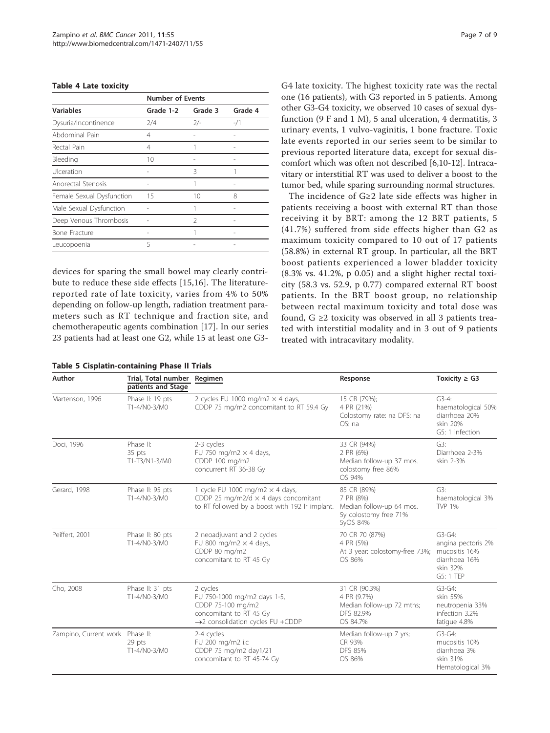#### <span id="page-6-0"></span>Table 4 Late toxicity

|                           |           | <b>Number of Events</b> |         |  |
|---------------------------|-----------|-------------------------|---------|--|
| <b>Variables</b>          | Grade 1-2 | Grade 3                 | Grade 4 |  |
| Dysuria/Incontinence      | 2/4       | $2/-$                   | $-1/1$  |  |
| Abdominal Pain            | 4         |                         |         |  |
| Rectal Pain               | 4         |                         |         |  |
| Bleeding                  | 10        |                         |         |  |
| Ulceration                |           | 3                       |         |  |
| Anorectal Stenosis        |           | 1                       |         |  |
| Female Sexual Dysfunction | 15        | $10 \,$                 | 8       |  |
| Male Sexual Dysfunction   |           | 1                       |         |  |
| Deep Venous Thrombosis    |           | $\mathcal{P}$           |         |  |
| <b>Bone Fracture</b>      |           | 1                       |         |  |
| Leucopoenia               | 5         |                         |         |  |

devices for sparing the small bowel may clearly contribute to reduce these side effects [[15,16](#page-8-0)]. The literaturereported rate of late toxicity, varies from 4% to 50% depending on follow-up length, radiation treatment parameters such as RT technique and fraction site, and chemotherapeutic agents combination [[17\]](#page-8-0). In our series 23 patients had at least one G2, while 15 at least one G3-

Table 5 Cisplatin-containing Phase II Trials

| Page 7 of 9 |  |
|-------------|--|
|             |  |

G4 late toxicity. The highest toxicity rate was the rectal one (16 patients), with G3 reported in 5 patients. Among other G3-G4 toxicity, we observed 10 cases of sexual dysfunction (9 F and 1 M), 5 anal ulceration, 4 dermatitis, 3 urinary events, 1 vulvo-vaginitis, 1 bone fracture. Toxic late events reported in our series seem to be similar to previous reported literature data, except for sexual discomfort which was often not described [\[6,10](#page-7-0)-[12\]](#page-7-0). Intracavitary or interstitial RT was used to deliver a boost to the tumor bed, while sparing surrounding normal structures.

The incidence of G≥2 late side effects was higher in patients receiving a boost with external RT than those receiving it by BRT: among the 12 BRT patients, 5 (41.7%) suffered from side effects higher than G2 as maximum toxicity compared to 10 out of 17 patients (58.8%) in external RT group. In particular, all the BRT boost patients experienced a lower bladder toxicity (8.3% vs. 41.2%, p 0.05) and a slight higher rectal toxicity (58.3 vs. 52.9, p 0.77) compared external RT boost patients. In the BRT boost group, no relationship between rectal maximum toxicity and total dose was found,  $G \geq 2$  toxicity was observed in all 3 patients treated with interstitial modality and in 3 out of 9 patients treated with intracavitary modality.

| Author                | Trial, Total number Regimen<br>patients and Stage |                                                                                                                                          | Response                                                                                  | Toxicity $\geq$ G3                                                                        |
|-----------------------|---------------------------------------------------|------------------------------------------------------------------------------------------------------------------------------------------|-------------------------------------------------------------------------------------------|-------------------------------------------------------------------------------------------|
| Martenson, 1996       | Phase II: 19 pts<br>T1-4/N0-3/M0                  | 2 cycles FU 1000 mg/m2 $\times$ 4 days,<br>CDDP 75 mg/m2 concomitant to RT 59.4 Gy                                                       | 15 CR (79%);<br>4 PR (21%)<br>Colostomy rate: na DFS: na<br>OS: na                        | $G3-4:$<br>haematological 50%<br>diarrhoea 20%<br>skin 20%<br>G5: 1 infection             |
| Doci, 1996            | Phase II:<br>35 pts<br>T1-T3/N1-3/M0              | 2-3 cycles<br>FU 750 mg/m2 $\times$ 4 days,<br>CDDP 100 mg/m2<br>concurrent RT 36-38 Gy                                                  | 33 CR (94%)<br>2 PR (6%)<br>Median follow-up 37 mos.<br>colostomy free 86%<br>OS 94%      | G3:<br>Diarrhoea 2-3%<br>skin 2-3%                                                        |
| Gerard, 1998          | Phase II: 95 pts<br>T1-4/N0-3/M0                  | 1 cycle FU 1000 mg/m2 $\times$ 4 days,<br>CDDP 25 mg/m2/d $\times$ 4 days concomitant<br>to RT followed by a boost with 192 Ir implant.  | 85 CR (89%)<br>7 PR (8%)<br>Median follow-up 64 mos.<br>5y colostomy free 71%<br>5yOS 84% | G3:<br>haematological 3%<br><b>TVP 1%</b>                                                 |
| Peiffert, 2001        | Phase II: 80 pts<br>T1-4/N0-3/M0                  | 2 neoadjuvant and 2 cycles<br>FU 800 mg/m2 $\times$ 4 days,<br>CDDP 80 mg/m2<br>concomitant to RT 45 Gy                                  | 70 CR 70 (87%)<br>4 PR (5%)<br>At 3 year: colostomy-free 73%;<br>OS 86%                   | $G3-G4:$<br>angina pectoris 2%<br>mucositis 16%<br>diarrhoea 16%<br>skin 32%<br>G5: 1 TEP |
| Cho, 2008             | Phase II: 31 pts<br>T1-4/N0-3/M0                  | 2 cycles<br>FU 750-1000 mg/m2 days 1-5,<br>CDDP 75-100 mg/m2<br>concomitant to RT 45 Gy<br>$\rightarrow$ 2 consolidation cycles FU +CDDP | 31 CR (90.3%)<br>4 PR (9.7%)<br>Median follow-up 72 mths;<br>DFS 82.9%<br>OS 84.7%        | $G3-G4$ :<br>skin 55%<br>neutropenia 33%<br>infection 3.2%<br>fatique 4.8%                |
| Zampino, Current work | Phase II:<br>29 pts<br>T1-4/N0-3/M0               | 2-4 cycles<br>FU 200 mg/m2 i.c<br>CDDP 75 mg/m2 day1/21<br>concomitant to RT 45-74 Gy                                                    | Median follow-up 7 yrs;<br>CR 93%<br><b>DFS 85%</b><br>OS 86%                             | $G3-G4$ :<br>mucositis 10%<br>diarrhoea 3%<br>skin 31%<br>Hematological 3%                |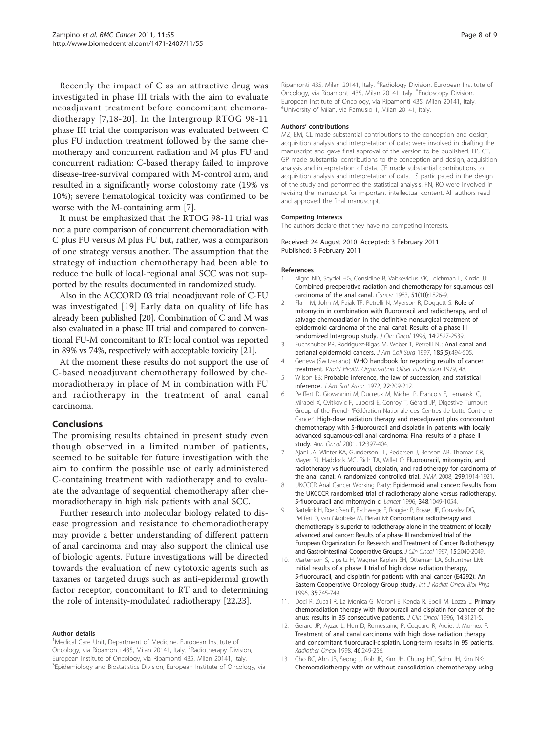<span id="page-7-0"></span>Recently the impact of C as an attractive drug was investigated in phase III trials with the aim to evaluate neoadjuvant treatment before concomitant chemoradiotherapy [7,[18-20\]](#page-8-0). In the Intergroup RTOG 98-11 phase III trial the comparison was evaluated between C plus FU induction treatment followed by the same chemotherapy and concurrent radiation and M plus FU and concurrent radiation: C-based therapy failed to improve disease-free-survival compared with M-control arm, and resulted in a significantly worse colostomy rate (19% vs 10%); severe hematological toxicity was confirmed to be worse with the M-containing arm [7].

It must be emphasized that the RTOG 98-11 trial was not a pure comparison of concurrent chemoradiation with C plus FU versus M plus FU but, rather, was a comparison of one strategy versus another. The assumption that the strategy of induction chemotherapy had been able to reduce the bulk of local-regional anal SCC was not supported by the results documented in randomized study.

Also in the ACCORD 03 trial neoadjuvant role of C-FU was investigated [[19](#page-8-0)] Early data on quality of life has already been published [[20](#page-8-0)]. Combination of C and M was also evaluated in a phase III trial and compared to conventional FU-M concomitant to RT: local control was reported in 89% vs 74%, respectively with acceptable toxicity [[21](#page-8-0)].

At the moment these results do not support the use of C-based neoadjuvant chemotherapy followed by chemoradiotherapy in place of M in combination with FU and radiotherapy in the treatment of anal canal carcinoma.

#### Conclusions

The promising results obtained in present study even though observed in a limited number of patients, seemed to be suitable for future investigation with the aim to confirm the possible use of early administered C-containing treatment with radiotherapy and to evaluate the advantage of sequential chemotherapy after chemoradiotherapy in high risk patients with anal SCC.

Further research into molecular biology related to disease progression and resistance to chemoradiotherapy may provide a better understanding of different pattern of anal carcinoma and may also support the clinical use of biologic agents. Future investigations will be directed towards the evaluation of new cytotoxic agents such as taxanes or targeted drugs such as anti-epidermal growth factor receptor, concomitant to RT and to determining the role of intensity-modulated radiotherapy [\[22,23\]](#page-8-0).

#### Author details

<sup>1</sup>Medical Care Unit, Department of Medicine, European Institute of Oncology, via Ripamonti 435, Milan 20141, Italy. <sup>2</sup>Radiotherapy Division, European Institute of Oncology, via Ripamonti 435, Milan 20141, Italy. <sup>3</sup>Epidemiology and Biostatistics Division, European Institute of Oncology, via

Ripamonti 435, Milan 20141, Italy. <sup>4</sup>Radiology Division, European Institute of Oncology, via Ripamonti 435, Milan 20141 Italy. <sup>5</sup>Endoscopy Division, European Institute of Oncology, via Ripamonti 435, Milan 20141, Italy. 6 University of Milan, via Ramusio 1, Milan 20141, Italy.

#### Authors' contributions

MZ, EM, CL made substantial contributions to the conception and design, acquisition analysis and interpretation of data; were involved in drafting the manuscript and gave final approval of the version to be published. EP, CT, GP made substantial contributions to the conception and design, acquisition analysis and interpretation of data. CF made substantial contributions to acquisition analysis and interpretation of data. LS participated in the design of the study and performed the statistical analysis. FN, RO were involved in revising the manuscript for important intellectual content. All authors read and approved the final manuscript.

#### Competing interests

The authors declare that they have no competing interests.

Received: 24 August 2010 Accepted: 3 February 2011 Published: 3 February 2011

#### References

- 1. Nigro ND, Seydel HG, Considine B, Vaitkevicius VK, Leichman L, Kinzie JJ: [Combined preoperative radiation and chemotherapy for squamous cell](http://www.ncbi.nlm.nih.gov/pubmed/6831348?dopt=Abstract) [carcinoma of the anal canal.](http://www.ncbi.nlm.nih.gov/pubmed/6831348?dopt=Abstract) Cancer 1983, 51(10):1826-9.
- 2. Flam M, John M, Pajak TF, Petrelli N, Myerson R, Doggett S: [Role of](http://www.ncbi.nlm.nih.gov/pubmed/8823332?dopt=Abstract) [mitomycin in combination with fluorouracil and radiotherapy, and of](http://www.ncbi.nlm.nih.gov/pubmed/8823332?dopt=Abstract) [salvage chemoradiation in the definitive nonsurgical treatment of](http://www.ncbi.nlm.nih.gov/pubmed/8823332?dopt=Abstract) [epidermoid carcinoma of the anal canal: Results of a phase III](http://www.ncbi.nlm.nih.gov/pubmed/8823332?dopt=Abstract) [randomized Intergroup study.](http://www.ncbi.nlm.nih.gov/pubmed/8823332?dopt=Abstract) J Clin Oncol 1996, 14:2527-2539.
- 3. Fuchshuber PR, Rodriguez-Bigas M, Weber T, Petrelli NJ: [Anal canal and](http://www.ncbi.nlm.nih.gov/pubmed/9358099?dopt=Abstract) [perianal epidermoid cancers.](http://www.ncbi.nlm.nih.gov/pubmed/9358099?dopt=Abstract) J Am Coll Surg 1997, 185(5):494-505.
- 4. Geneva (Switzerland): WHO handbook for reporting results of cancer treatment. World Health Organization Offset Publication 1979, 48.
- 5. Wilson EB: Probable inference, the law of succession, and statistical inference. J Am Stat Assoc 1972, 22:209-212.
- 6. Peiffert D, Giovannini M, Ducreux M, Michel P, Francois E, Lemanski C, Mirabel X, Cvitkovic F, Luporsi E, Conroy T, Gérard JP, Digestive Tumours Group of the French 'Fédération Nationale des Centres de Lutte Contre le Cancer': [High-dose radiation therapy and neoadjuvant plus concomitant](http://www.ncbi.nlm.nih.gov/pubmed/11332154?dopt=Abstract) [chemotherapy with 5-fluorouracil and cisplatin in patients with locally](http://www.ncbi.nlm.nih.gov/pubmed/11332154?dopt=Abstract) [advanced squamous-cell anal carcinoma: Final results of a phase II](http://www.ncbi.nlm.nih.gov/pubmed/11332154?dopt=Abstract) [study.](http://www.ncbi.nlm.nih.gov/pubmed/11332154?dopt=Abstract) Ann Oncol 2001, 12:397-404.
- 7. Ajani JA, Winter KA, Gunderson LL, Pedersen J, Benson AB, Thomas CR, Mayer RJ, Haddock MG, Rich TA, Willet C: [Fluorouracil, mitomycin, and](http://www.ncbi.nlm.nih.gov/pubmed/18430910?dopt=Abstract) [radiotherapy vs fluorouracil, cisplatin, and radiotherapy for carcinoma of](http://www.ncbi.nlm.nih.gov/pubmed/18430910?dopt=Abstract) [the anal canal: A randomized controlled trial.](http://www.ncbi.nlm.nih.gov/pubmed/18430910?dopt=Abstract) JAMA 2008, 299:1914-1921.
- 8. UKCCCR Anal Cancer Working Party: [Epidermoid anal cancer: Results from](http://www.ncbi.nlm.nih.gov/pubmed/8874455?dopt=Abstract) [the UKCCCR randomised trial of radiotherapy alone versus radiotherapy,](http://www.ncbi.nlm.nih.gov/pubmed/8874455?dopt=Abstract) [5-fluorouracil and mitomycin c.](http://www.ncbi.nlm.nih.gov/pubmed/8874455?dopt=Abstract) Lancet 1996, 348:1049-1054.
- 9. Bartelink H, Roelofsen F, Eschwege F, Rougier P, Bosset JF, Gonzalez DG, Peiffert D, van Glabbeke M, Pierart M: [Concomitant radiotherapy and](http://www.ncbi.nlm.nih.gov/pubmed/9164216?dopt=Abstract) [chemotherapy is superior to radiotherapy alone in the treatment of locally](http://www.ncbi.nlm.nih.gov/pubmed/9164216?dopt=Abstract) [advanced anal cancer: Results of a phase III randomized trial of the](http://www.ncbi.nlm.nih.gov/pubmed/9164216?dopt=Abstract) [European Organization for Research and Treatment of Cancer Radiotherapy](http://www.ncbi.nlm.nih.gov/pubmed/9164216?dopt=Abstract) [and Gastrointestinal Cooperative Groups.](http://www.ncbi.nlm.nih.gov/pubmed/9164216?dopt=Abstract) J Clin Oncol 1997, 15:2040-2049
- 10. Martenson S, Lipsitz H, Wagner Kaplan EH, Otteman LA, Schunther LM: [Initial results of a phase II trial of high dose radiation therapy,](http://www.ncbi.nlm.nih.gov/pubmed/8690640?dopt=Abstract) [5-fluorouracil, and cisplatin for patients with anal cancer \(E4292\): An](http://www.ncbi.nlm.nih.gov/pubmed/8690640?dopt=Abstract) [Eastern Cooperative Oncology Group study.](http://www.ncbi.nlm.nih.gov/pubmed/8690640?dopt=Abstract) Int J Radiat Oncol Biol Phys 1996, 35:745-749.
- 11. Doci R, Zucali R, La Monica G, Meroni E, Kenda R, Eboli M, Lozza L: [Primary](http://www.ncbi.nlm.nih.gov/pubmed/8955657?dopt=Abstract) [chemoradiation therapy with fluorouracil and cisplatin for cancer of the](http://www.ncbi.nlm.nih.gov/pubmed/8955657?dopt=Abstract) [anus: results in 35 consecutive patients.](http://www.ncbi.nlm.nih.gov/pubmed/8955657?dopt=Abstract) J Clin Oncol 1996, 14:3121-5.
- 12. Gerard JP, Ayzac L, Hun D, Romestaing P, Coquard R, Ardiet J, Mornex F: [Treatment of anal canal carcinoma with high dose radiation therapy](http://www.ncbi.nlm.nih.gov/pubmed/9572617?dopt=Abstract) [and concomitant fluorouracil-cisplatin. Long-term results in 95 patients.](http://www.ncbi.nlm.nih.gov/pubmed/9572617?dopt=Abstract) Radiother Oncol 1998, 46:249-256.
- 13. Cho BC, Ahn JB, Seong J, Roh JK, Kim JH, Chung HC, Sohn JH, Kim NK: Chemoradiotherapy with or without consolidation chemotherapy using